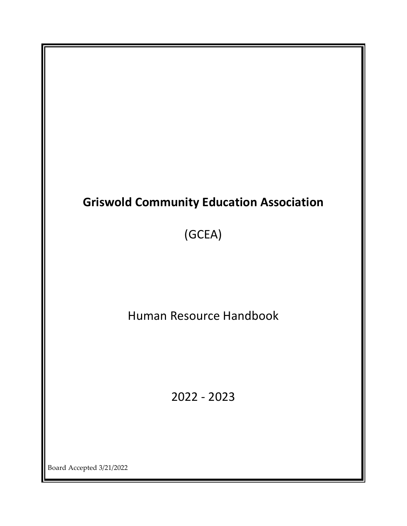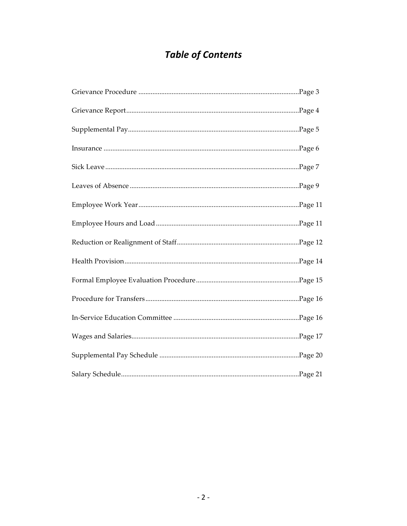# **Table of Contents**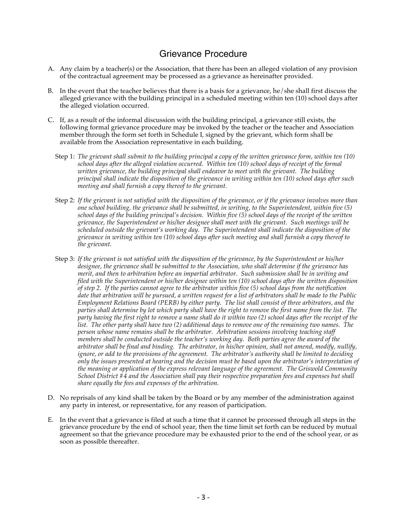### Grievance Procedure

- A. Any claim by a teacher(s) or the Association, that there has been an alleged violation of any provision of the contractual agreement may be processed as a grievance as hereinafter provided.
- B. In the event that the teacher believes that there is a basis for a grievance, he/she shall first discuss the alleged grievance with the building principal in a scheduled meeting within ten (10) school days after the alleged violation occurred.
- C. If, as a result of the informal discussion with the building principal, a grievance still exists, the following formal grievance procedure may be invoked by the teacher or the teacher and Association member through the form set forth in Schedule I, signed by the grievant, which form shall be available from the Association representative in each building.
	- Step 1: *The grievant shall submit to the building principal a copy of the written grievance form, within ten (10) school days after the alleged violation occurred. Within ten (10) school days of receipt of the formal written grievance, the building principal shall endeavor to meet with the grievant. The building principal shall indicate the disposition of the grievance in writing within ten (10) school days after such meeting and shall furnish a copy thereof to the grievant.*
	- Step 2: *If the grievant is not satisfied with the disposition of the grievance, or if the grievance involves more than one school building, the grievance shall be submitted, in writing, to the Superintendent, within five (5) school days of the building principal's decision. Within five (5) school days of the receipt of the written grievance, the Superintendent or his/her designee shall meet with the grievant. Such meetings will be scheduled outside the grievant's working day. The Superintendent shall indicate the disposition of the grievance in writing within ten (10) school days after such meeting and shall furnish a copy thereof to the grievant.*
	- Step 3: *If the grievant is not satisfied with the disposition of the grievance, by the Superintendent or his/her designee, the grievance shall be submitted to the Association, who shall determine if the grievance has merit, and then to arbitration before an impartial arbitrator. Such submission shall be in writing and filed with the Superintendent or his/her designee within ten (10) school days after the written disposition of step 2. If the parties cannot agree to the arbitrator within five (5) school days from the notification date that arbitration will be pursued, a written request for a list of arbitrators shall be made to the Public Employment Relations Board (PERB) by either party. The list shall consist of three arbitrators, and the parties shall determine by lot which party shall have the right to remove the first name from the list. The party having the first right to remove a name shall do it within two (2) school days after the receipt of the list. The other party shall have two (2) additional days to remove one of the remaining two names. The person whose name remains shall be the arbitrator. Arbitration sessions involving teaching staff members shall be conducted outside the teacher's working day. Both parties agree the award of the arbitrator shall be final and binding. The arbitrator, in his/her opinion, shall not amend, modify, nullify, ignore, or add to the provisions of the agreement. The arbitrator's authority shall be limited to deciding only the issues presented at hearing and the decision must be based upon the arbitrator's interpretation of the meaning or application of the express relevant language of the agreement. The Griswold Community School District #4 and the Association shall pay their respective preparation fees and expenses but shall share equally the fees and expenses of the arbitration.*
- D. No reprisals of any kind shall be taken by the Board or by any member of the administration against any party in interest, or representative, for any reason of participation.
- E. In the event that a grievance is filed at such a time that it cannot be processed through all steps in the grievance procedure by the end of school year, then the time limit set forth can be reduced by mutual agreement so that the grievance procedure may be exhausted prior to the end of the school year, or as soon as possible thereafter.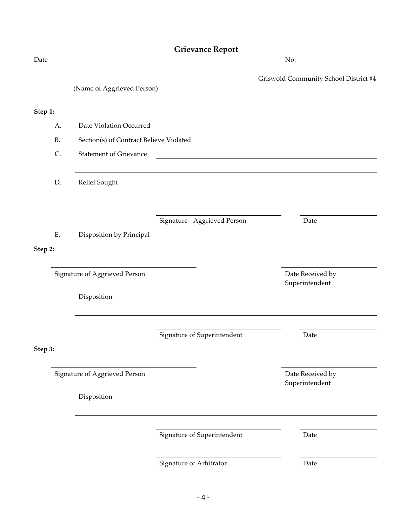|         |           |                                         | <b>Grievance Report</b>                                                                                                                                                                                                              |                                                                                                                       |
|---------|-----------|-----------------------------------------|--------------------------------------------------------------------------------------------------------------------------------------------------------------------------------------------------------------------------------------|-----------------------------------------------------------------------------------------------------------------------|
| Date    |           | <u> 1990 - Johann Barbara, martin d</u> |                                                                                                                                                                                                                                      | No: $\qquad \qquad$                                                                                                   |
|         |           |                                         |                                                                                                                                                                                                                                      | Griswold Community School District #4                                                                                 |
|         |           | (Name of Aggrieved Person)              |                                                                                                                                                                                                                                      |                                                                                                                       |
|         |           |                                         |                                                                                                                                                                                                                                      |                                                                                                                       |
| Step 1: |           |                                         |                                                                                                                                                                                                                                      |                                                                                                                       |
|         | A.        |                                         |                                                                                                                                                                                                                                      | Date Violation Occurred                                                                                               |
|         | <b>B.</b> |                                         |                                                                                                                                                                                                                                      | Section(s) of Contract Believe Violated                                                                               |
|         | C.        | <b>Statement of Grievance</b>           |                                                                                                                                                                                                                                      | <u> 1989 - Johann Barn, fransk politik (d. 1989)</u>                                                                  |
|         | D.        |                                         |                                                                                                                                                                                                                                      | Relief Sought                                                                                                         |
|         |           |                                         |                                                                                                                                                                                                                                      |                                                                                                                       |
|         |           |                                         |                                                                                                                                                                                                                                      |                                                                                                                       |
|         |           |                                         | Signature - Aggrieved Person                                                                                                                                                                                                         | Date                                                                                                                  |
|         | E.        | Disposition by Principal                |                                                                                                                                                                                                                                      | <u> 1989 - Jan Barbara de Santo III e al Indonesia de la contrada de la contrada de la contrada de la contrada de</u> |
| Step 2: |           |                                         |                                                                                                                                                                                                                                      |                                                                                                                       |
|         |           | Signature of Aggrieved Person           |                                                                                                                                                                                                                                      | Date Received by                                                                                                      |
|         |           |                                         |                                                                                                                                                                                                                                      | Superintendent                                                                                                        |
|         |           | Disposition                             | <u>and the control of the control of the control of the control of the control of the control of the control of the control of the control of the control of the control of the control of the control of the control of the con</u> |                                                                                                                       |
|         |           |                                         |                                                                                                                                                                                                                                      |                                                                                                                       |
|         |           |                                         | Signature of Superintendent                                                                                                                                                                                                          | Date                                                                                                                  |
| Step 3: |           |                                         |                                                                                                                                                                                                                                      |                                                                                                                       |
|         |           | Signature of Aggrieved Person           |                                                                                                                                                                                                                                      | Date Received by<br>Superintendent                                                                                    |
|         |           | Disposition                             |                                                                                                                                                                                                                                      |                                                                                                                       |
|         |           |                                         |                                                                                                                                                                                                                                      |                                                                                                                       |
|         |           |                                         | Signature of Superintendent                                                                                                                                                                                                          | Date                                                                                                                  |
|         |           |                                         |                                                                                                                                                                                                                                      |                                                                                                                       |
|         |           |                                         | Signature of Arbitrator                                                                                                                                                                                                              | Date                                                                                                                  |

#### $-4-$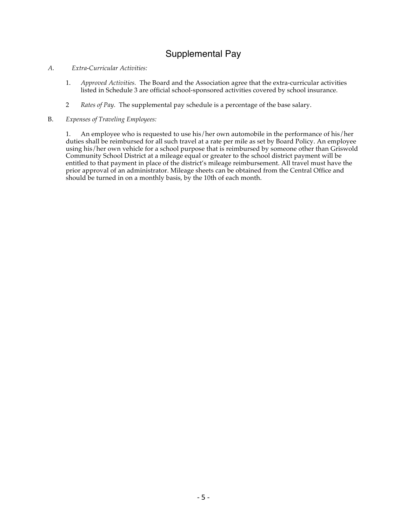# Supplemental Pay

#### *A. Extra-Curricular Activities:*

- 1. *Approved Activities.* The Board and the Association agree that the extra-curricular activities listed in Schedule 3 are official school-sponsored activities covered by school insurance.
- 2 *Rates of Pay.* The supplemental pay schedule is a percentage of the base salary.
- B. *Expenses of Traveling Employees:*

1. An employee who is requested to use his/her own automobile in the performance of his/her duties shall be reimbursed for all such travel at a rate per mile as set by Board Policy. An employee using his/her own vehicle for a school purpose that is reimbursed by someone other than Griswold Community School District at a mileage equal or greater to the school district payment will be entitled to that payment in place of the district's mileage reimbursement. All travel must have the prior approval of an administrator. Mileage sheets can be obtained from the Central Office and should be turned in on a monthly basis, by the 10th of each month.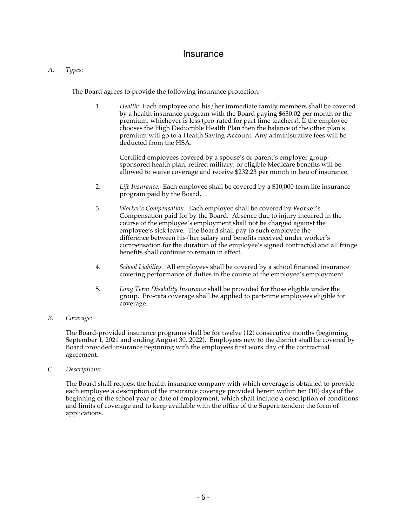#### **Insurance**

#### *A. Types:*

The Board agrees to provide the following insurance protection.

1. *Health:* Each employee and his/her immediate family members shall be covered by a health insurance program with the Board paying \$630.02 per month or the premium, whichever is less (pro-rated for part time teachers). If the employee chooses the High Deductible Health Plan then the balance of the other plan's premium will go to a Health Saving Account. Any administrative fees will be deducted from the HSA.

Certified employees covered by a spouse's or parent's employer groupsponsored health plan, retired military, or eligible Medicare benefits will be allowed to waive coverage and receive \$232.23 per month in lieu of insurance.

- 2. *Life Insurance.* Each employee shall be covered by a \$10,000 term life insurance program paid by the Board.
- 3. *Worker's Compensation.* Each employee shall be covered by Worker's Compensation paid for by the Board. Absence due to injury incurred in the course of the employee's employment shall not be charged against the employee's sick leave. The Board shall pay to such employee the difference between his/her salary and benefits received under worker's compensation for the duration of the employee's signed contract(s) and all fringe benefits shall continue to remain in effect.
- 4. *School Liability.* All employees shall be covered by a school financed insurance covering performance of duties in the course of the employee's employment.
- 5. *Long Term Disability Insurance* shall be provided for those eligible under the group. Pro-rata coverage shall be applied to part-time employees eligible for coverage.

#### *B. Coverage:*

The Board-provided insurance programs shall be for twelve (12) consecutive months (beginning September 1, 2021 and ending August 30, 2022). Employees new to the district shall be covered by Board provided insurance beginning with the employees first work day of the contractual agreement.

*C. Descriptions:*

The Board shall request the health insurance company with which coverage is obtained to provide each employee a description of the insurance coverage provided herein within ten (10) days of the beginning of the school year or date of employment, which shall include a description of conditions and limits of coverage and to keep available with the office of the Superintendent the form of applications.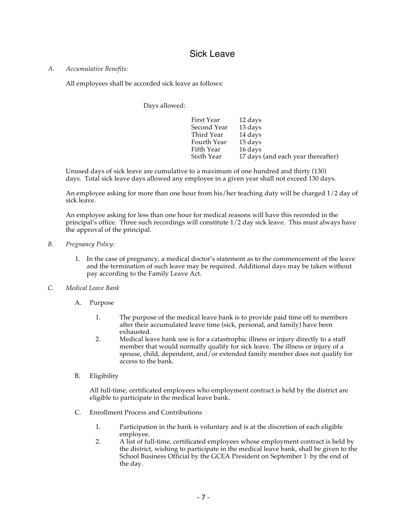### Sick Leave

#### *A. Accumulative Benefits:*

All employees shall be accorded sick leave as follows:

Days allowed:

| First Year  | 12 days                            |
|-------------|------------------------------------|
| Second Year | 13 days                            |
| Third Year  | 14 days                            |
| Fourth Year | 15 days                            |
| Fifth Year  | 16 days                            |
| Sixth Year  | 17 days (and each year thereafter) |

Unused days of sick leave are cumulative to a maximum of one hundred and thirty (130) days. Total sick leave days allowed any employee in a given year shall not exceed 130 days.

An employee asking for more than one hour from his/her teaching duty will be charged 1/2 day of sick leave.

An employee asking for less than one hour for medical reasons will have this recorded in the principal's office. Three such recordings will constitute 1/2 day sick leave. This must always have the approval of the principal.

#### *B. Pregnancy Policy:*

- 1. In the case of pregnancy, a medical doctor's statement as to the commencement of the leave and the termination of such leave may be required. Additional days may be taken without pay according to the Family Leave Act.
- *C. Medical Leave Bank*
	- A. Purpose
		- 1. The purpose of the medical leave bank is to provide paid time off to members after their accumulated leave time (sick, personal, and family) have been exhausted.
		- 2. Medical leave bank use is for a catastrophic illness or injury directly to a staff member that would normally qualify for sick leave. The illness or injury of a spouse, child, dependent, and/or extended family member does not qualify for access to the bank.
	- B. Eligibility

All full-time, certificated employees who employment contract is held by the district are eligible to participate in the medical leave bank.

- C. Enrollment Process and Contributions
	- 1. Participation in the bank is voluntary and is at the discretion of each eligible employee.
	- 2. A list of full-time, certificated employees whose employment contract is held by the district, wishing to participate in the medical leave bank, shall be given to the School Business Official by the GCEA President on September 1<sup>st</sup> by the end of the day.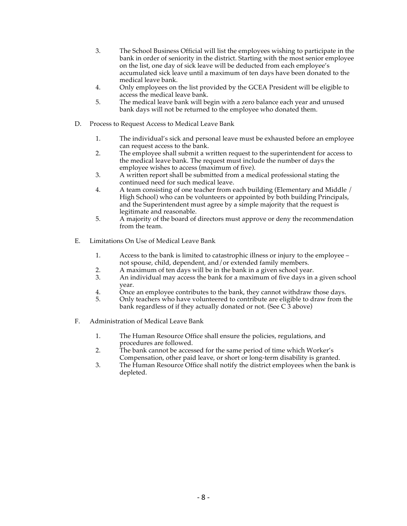- 3. The School Business Official will list the employees wishing to participate in the bank in order of seniority in the district. Starting with the most senior employee on the list, one day of sick leave will be deducted from each employee's accumulated sick leave until a maximum of ten days have been donated to the medical leave bank.
- 4. Only employees on the list provided by the GCEA President will be eligible to access the medical leave bank.
- 5. The medical leave bank will begin with a zero balance each year and unused bank days will not be returned to the employee who donated them.
- D. Process to Request Access to Medical Leave Bank
	- 1. The individual's sick and personal leave must be exhausted before an employee can request access to the bank.
	- 2. The employee shall submit a written request to the superintendent for access to the medical leave bank. The request must include the number of days the employee wishes to access (maximum of five).
	- 3. A written report shall be submitted from a medical professional stating the continued need for such medical leave.
	- 4. A team consisting of one teacher from each building (Elementary and Middle / High School) who can be volunteers or appointed by both building Principals, and the Superintendent must agree by a simple majority that the request is legitimate and reasonable.
	- 5. A majority of the board of directors must approve or deny the recommendation from the team.
- E. Limitations On Use of Medical Leave Bank
	- 1. Access to the bank is limited to catastrophic illness or injury to the employee not spouse, child, dependent, and/or extended family members.
	- 2. A maximum of ten days will be in the bank in a given school year.<br>3. An individual may access the bank for a maximum of five days in
	- An individual may access the bank for a maximum of five days in a given school year.
	- 4. Once an employee contributes to the bank, they cannot withdraw those days.<br>5. Only teachers who have volunteered to contribute are eligible to draw from the
	- 5. Only teachers who have volunteered to contribute are eligible to draw from the bank regardless of if they actually donated or not. (See C 3 above)
- F. Administration of Medical Leave Bank
	- 1. The Human Resource Office shall ensure the policies, regulations, and procedures are followed.
	- 2. The bank cannot be accessed for the same period of time which Worker's Compensation, other paid leave, or short or long-term disability is granted.
	- 3. The Human Resource Office shall notify the district employees when the bank is depleted.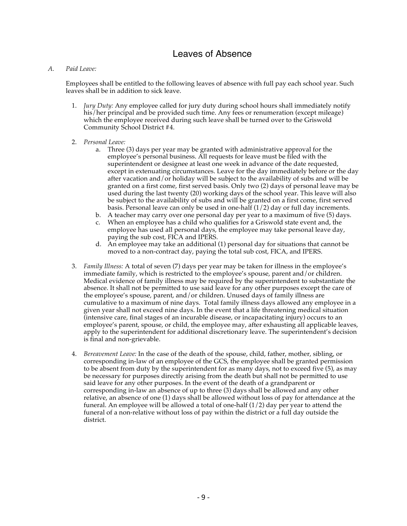### Leaves of Absence

#### *A. Paid Leave:*

Employees shall be entitled to the following leaves of absence with full pay each school year. Such leaves shall be in addition to sick leave.

- 1. *Jury Duty:* Any employee called for jury duty during school hours shall immediately notify his/her principal and be provided such time. Any fees or renumeration (except mileage) which the employee received during such leave shall be turned over to the Griswold Community School District #4.
- 2. *Personal Leave:*
	- a. Three (3) days per year may be granted with administrative approval for the employee's personal business. All requests for leave must be filed with the superintendent or designee at least one week in advance of the date requested, except in extenuating circumstances. Leave for the day immediately before or the day after vacation and/or holiday will be subject to the availability of subs and will be granted on a first come, first served basis. Only two (2) days of personal leave may be used during the last twenty (20) working days of the school year. This leave will also be subject to the availability of subs and will be granted on a first come, first served basis. Personal leave can only be used in one-half  $(1/2)$  day or full day increments.
	- b. A teacher may carry over one personal day per year to a maximum of five (5) days.
	- c. When an employee has a child who qualifies for a Griswold state event and, the employee has used all personal days, the employee may take personal leave day, paying the sub cost, FICA and IPERS.
	- d. An employee may take an additional (1) personal day for situations that cannot be moved to a non-contract day, paying the total sub cost, FICA, and IPERS.
- 3. *Family Illness:* A total of seven (7) days per year may be taken for illness in the employee's immediate family, which is restricted to the employee's spouse, parent and/or children. Medical evidence of family illness may be required by the superintendent to substantiate the absence. It shall not be permitted to use said leave for any other purposes except the care of the employee's spouse, parent, and/or children. Unused days of family illness are cumulative to a maximum of nine days. Total family illness days allowed any employee in a given year shall not exceed nine days. In the event that a life threatening medical situation (intensive care, final stages of an incurable disease, or incapacitating injury) occurs to an employee's parent, spouse, or child, the employee may, after exhausting all applicable leaves, apply to the superintendent for additional discretionary leave. The superintendent's decision is final and non-grievable.
- 4. *Bereavement Leave:* In the case of the death of the spouse, child, father, mother, sibling, or corresponding in-law of an employee of the GCS, the employee shall be granted permission to be absent from duty by the superintendent for as many days, not to exceed five (5), as may be necessary for purposes directly arising from the death but shall not be permitted to use said leave for any other purposes. In the event of the death of a grandparent or corresponding in-law an absence of up to three (3) days shall be allowed and any other relative, an absence of one (1) days shall be allowed without loss of pay for attendance at the funeral. An employee will be allowed a total of one-half  $(1/2)$  day per year to attend the funeral of a non-relative without loss of pay within the district or a full day outside the district.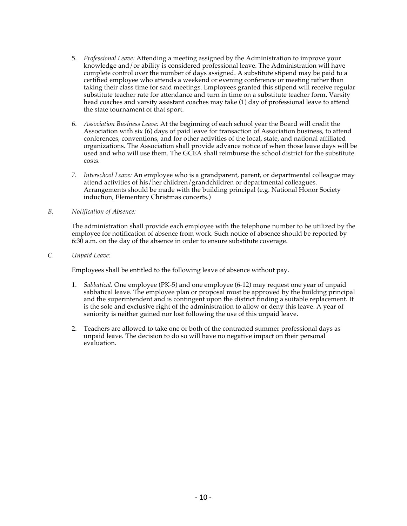- 5. *Professional Leave:* Attending a meeting assigned by the Administration to improve your knowledge and/or ability is considered professional leave. The Administration will have complete control over the number of days assigned. A substitute stipend may be paid to a certified employee who attends a weekend or evening conference or meeting rather than taking their class time for said meetings. Employees granted this stipend will receive regular substitute teacher rate for attendance and turn in time on a substitute teacher form. Varsity head coaches and varsity assistant coaches may take (1) day of professional leave to attend the state tournament of that sport.
- 6. *Association Business Leave:* At the beginning of each school year the Board will credit the Association with six (6) days of paid leave for transaction of Association business, to attend conferences, conventions, and for other activities of the local, state, and national affiliated organizations. The Association shall provide advance notice of when those leave days will be used and who will use them. The GCEA shall reimburse the school district for the substitute costs.
- *7. Interschool Leave:* An employee who is a grandparent, parent, or departmental colleague may attend activities of his/her children/grandchildren or departmental colleagues. Arrangements should be made with the building principal (e.g. National Honor Society induction, Elementary Christmas concerts.)

#### *B. Notification of Absence:*

The administration shall provide each employee with the telephone number to be utilized by the employee for notification of absence from work. Such notice of absence should be reported by 6:30 a.m. on the day of the absence in order to ensure substitute coverage.

#### *C. Unpaid Leave:*

Employees shall be entitled to the following leave of absence without pay.

- 1. *Sabbatical.* One employee (PK-5) and one employee (6-12) may request one year of unpaid sabbatical leave. The employee plan or proposal must be approved by the building principal and the superintendent and is contingent upon the district finding a suitable replacement. It is the sole and exclusive right of the administration to allow or deny this leave. A year of seniority is neither gained nor lost following the use of this unpaid leave.
- 2. Teachers are allowed to take one or both of the contracted summer professional days as unpaid leave. The decision to do so will have no negative impact on their personal evaluation.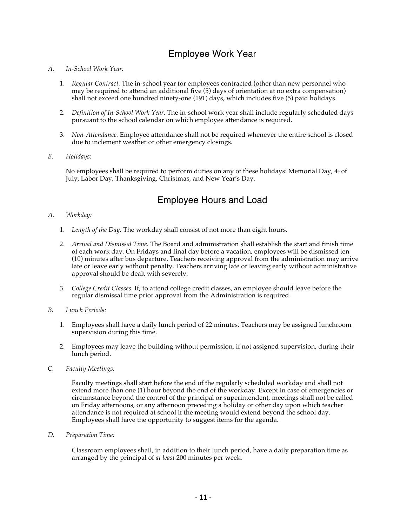# Employee Work Year

#### *A. In-School Work Year:*

- 1. *Regular Contract.* The in-school year for employees contracted (other than new personnel who may be required to attend an additional five (5) days of orientation at no extra compensation) shall not exceed one hundred ninety-one (191) days, which includes five (5) paid holidays.
- 2. *Definition of In-School Work Year.* The in-school work year shall include regularly scheduled days pursuant to the school calendar on which employee attendance is required.
- 3. *Non-Attendance.* Employee attendance shall not be required whenever the entire school is closed due to inclement weather or other emergency closings.
- *B. Holidays:*

No employees shall be required to perform duties on any of these holidays: Memorial Day,  $4*$  of July, Labor Day, Thanksgiving, Christmas, and New Year's Day.

## Employee Hours and Load

#### *A. Workday:*

- 1. *Length of the Day.* The workday shall consist of not more than eight hours.
- 2. *Arrival and Dismissal Time.* The Board and administration shall establish the start and finish time of each work day. On Fridays and final day before a vacation, employees will be dismissed ten (10) minutes after bus departure. Teachers receiving approval from the administration may arrive late or leave early without penalty. Teachers arriving late or leaving early without administrative approval should be dealt with severely.
- 3. *College Credit Classes.* If, to attend college credit classes, an employee should leave before the regular dismissal time prior approval from the Administration is required.
- *B. Lunch Periods:*
	- 1. Employees shall have a daily lunch period of 22 minutes. Teachers may be assigned lunchroom supervision during this time.
	- 2. Employees may leave the building without permission, if not assigned supervision, during their lunch period.
- *C. Faculty Meetings:*

Faculty meetings shall start before the end of the regularly scheduled workday and shall not extend more than one (1) hour beyond the end of the workday. Except in case of emergencies or circumstance beyond the control of the principal or superintendent, meetings shall not be called on Friday afternoons, or any afternoon preceding a holiday or other day upon which teacher attendance is not required at school if the meeting would extend beyond the school day. Employees shall have the opportunity to suggest items for the agenda.

*D. Preparation Time:* 

Classroom employees shall, in addition to their lunch period, have a daily preparation time as arranged by the principal of *at least* 200 minutes per week*.*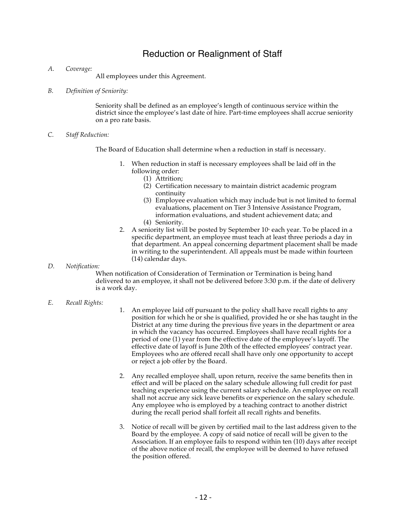### Reduction or Realignment of Staff

*A. Coverage:*

All employees under this Agreement.

*B. Definition of Seniority:*

Seniority shall be defined as an employee's length of continuous service within the district since the employee's last date of hire. Part-time employees shall accrue seniority on a pro rate basis.

*C. Staff Reduction:*

The Board of Education shall determine when a reduction in staff is necessary.

- 1. When reduction in staff is necessary employees shall be laid off in the following order:
	- (1) Attrition;
	- (2) Certification necessary to maintain district academic program continuity
	- (3) Employee evaluation which may include but is not limited to formal evaluations, placement on Tier 3 Intensive Assistance Program, information evaluations, and student achievement data; and
	- (4) Seniority.
- 2. A seniority list will be posted by September  $10<sup>*</sup>$  each year. To be placed in a specific department, an employee must teach at least three periods a day in that department. An appeal concerning department placement shall be made in writing to the superintendent. All appeals must be made within fourteen (14) calendar days.
- *D. Notification:*

When notification of Consideration of Termination or Termination is being hand delivered to an employee, it shall not be delivered before 3:30 p.m. if the date of delivery is a work day.

#### *E. Recall Rights:*

- 1. An employee laid off pursuant to the policy shall have recall rights to any position for which he or she is qualified, provided he or she has taught in the District at any time during the previous five years in the department or area in which the vacancy has occurred. Employees shall have recall rights for a period of one (1) year from the effective date of the employee's layoff. The effective date of layoff is June 20th of the effected employees' contract year. Employees who are offered recall shall have only one opportunity to accept or reject a job offer by the Board.
- 2. Any recalled employee shall, upon return, receive the same benefits then in effect and will be placed on the salary schedule allowing full credit for past teaching experience using the current salary schedule. An employee on recall shall not accrue any sick leave benefits or experience on the salary schedule. Any employee who is employed by a teaching contract to another district during the recall period shall forfeit all recall rights and benefits.
- 3. Notice of recall will be given by certified mail to the last address given to the Board by the employee. A copy of said notice of recall will be given to the Association. If an employee fails to respond within ten (10) days after receipt of the above notice of recall, the employee will be deemed to have refused the position offered.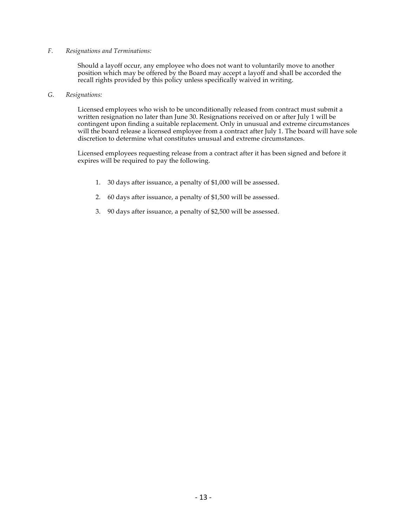#### *F. Resignations and Terminations:*

Should a layoff occur, any employee who does not want to voluntarily move to another position which may be offered by the Board may accept a layoff and shall be accorded the recall rights provided by this policy unless specifically waived in writing.

#### *G. Resignations:*

Licensed employees who wish to be unconditionally released from contract must submit a written resignation no later than June 30. Resignations received on or after July 1 will be contingent upon finding a suitable replacement. Only in unusual and extreme circumstances will the board release a licensed employee from a contract after July 1. The board will have sole discretion to determine what constitutes unusual and extreme circumstances.

Licensed employees requesting release from a contract after it has been signed and before it expires will be required to pay the following.

- 1. 30 days after issuance, a penalty of \$1,000 will be assessed.
- 2. 60 days after issuance, a penalty of \$1,500 will be assessed.
- 3. 90 days after issuance, a penalty of \$2,500 will be assessed.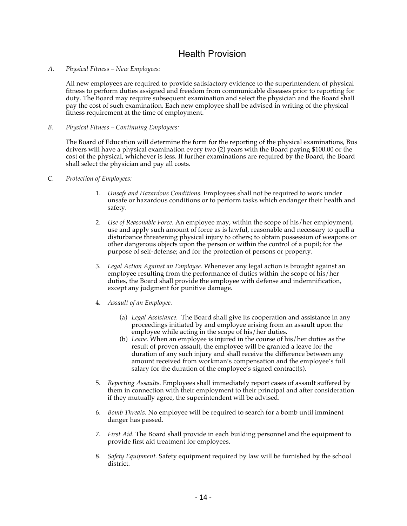### Health Provision

#### *A. Physical Fitness – New Employees:*

All new employees are required to provide satisfactory evidence to the superintendent of physical fitness to perform duties assigned and freedom from communicable diseases prior to reporting for duty. The Board may require subsequent examination and select the physician and the Board shall pay the cost of such examination. Each new employee shall be advised in writing of the physical fitness requirement at the time of employment.

#### *B. Physical Fitness – Continuing Employees:*

The Board of Education will determine the form for the reporting of the physical examinations, Bus drivers will have a physical examination every two (2) years with the Board paying \$100.00 or the cost of the physical, whichever is less. If further examinations are required by the Board, the Board shall select the physician and pay all costs.

- *C. Protection of Employees:* 
	- 1. *Unsafe and Hazardous Conditions.* Employees shall not be required to work under unsafe or hazardous conditions or to perform tasks which endanger their health and safety.
	- 2. *Use of Reasonable Force.* An employee may, within the scope of his/her employment, use and apply such amount of force as is lawful, reasonable and necessary to quell a disturbance threatening physical injury to others; to obtain possession of weapons or other dangerous objects upon the person or within the control of a pupil; for the purpose of self-defense; and for the protection of persons or property.
	- 3. *Legal Action Against an Employee.* Whenever any legal action is brought against an employee resulting from the performance of duties within the scope of his/her duties, the Board shall provide the employee with defense and indemnification, except any judgment for punitive damage.
	- 4. *Assault of an Employee.* 
		- (a) *Legal Assistance.* The Board shall give its cooperation and assistance in any proceedings initiated by and employee arising from an assault upon the employee while acting in the scope of his/her duties.
		- (b) *Leave.* When an employee is injured in the course of his/her duties as the result of proven assault, the employee will be granted a leave for the duration of any such injury and shall receive the difference between any amount received from workman's compensation and the employee's full salary for the duration of the employee's signed contract(s).
	- 5. *Reporting Assaults.* Employees shall immediately report cases of assault suffered by them in connection with their employment to their principal and after consideration if they mutually agree, the superintendent will be advised.
	- 6. *Bomb Threats.* No employee will be required to search for a bomb until imminent danger has passed.
	- 7. *First Aid.* The Board shall provide in each building personnel and the equipment to provide first aid treatment for employees.
	- 8. *Safety Equipment.* Safety equipment required by law will be furnished by the school district.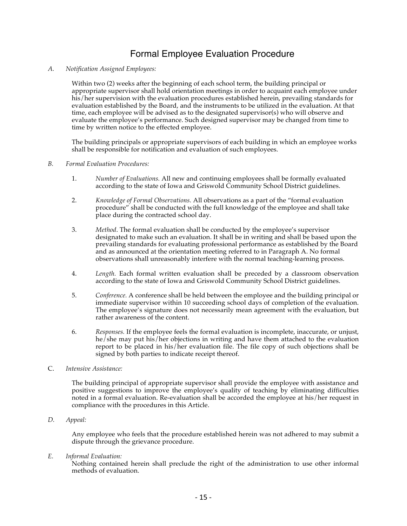# Formal Employee Evaluation Procedure

#### *A. Notification Assigned Employees:*

Within two (2) weeks after the beginning of each school term, the building principal or appropriate supervisor shall hold orientation meetings in order to acquaint each employee under his/her supervision with the evaluation procedures established herein, prevailing standards for evaluation established by the Board, and the instruments to be utilized in the evaluation. At that time, each employee will be advised as to the designated supervisor(s) who will observe and evaluate the employee's performance. Such designed supervisor may be changed from time to time by written notice to the effected employee.

The building principals or appropriate supervisors of each building in which an employee works shall be responsible for notification and evaluation of such employees.

#### *B. Formal Evaluation Procedures:*

- 1. *Number of Evaluations.* All new and continuing employees shall be formally evaluated according to the state of Iowa and Griswold Community School District guidelines.
- 2. *Knowledge of Formal Observations.* All observations as a part of the "formal evaluation procedure" shall be conducted with the full knowledge of the employee and shall take place during the contracted school day.
- 3. *Method*. The formal evaluation shall be conducted by the employee's supervisor designated to make such an evaluation. It shall be in writing and shall be based upon the prevailing standards for evaluating professional performance as established by the Board and as announced at the orientation meeting referred to in Paragraph A. No formal observations shall unreasonably interfere with the normal teaching-learning process.
- 4. *Length.* Each formal written evaluation shall be preceded by a classroom observation according to the state of Iowa and Griswold Community School District guidelines.
- 5. *Conference.* A conference shall be held between the employee and the building principal or immediate supervisor within 10 succeeding school days of completion of the evaluation. The employee's signature does not necessarily mean agreement with the evaluation, but rather awareness of the content.
- 6. *Responses.* If the employee feels the formal evaluation is incomplete, inaccurate, or unjust, he/she may put his/her objections in writing and have them attached to the evaluation report to be placed in his/her evaluation file. The file copy of such objections shall be signed by both parties to indicate receipt thereof.
- C. *Intensive Assistance:*

The building principal of appropriate supervisor shall provide the employee with assistance and positive suggestions to improve the employee's quality of teaching by eliminating difficulties noted in a formal evaluation. Re-evaluation shall be accorded the employee at his/her request in compliance with the procedures in this Article.

*D. Appeal:*

Any employee who feels that the procedure established herein was not adhered to may submit a dispute through the grievance procedure.

*E. Informal Evaluation:*

Nothing contained herein shall preclude the right of the administration to use other informal methods of evaluation.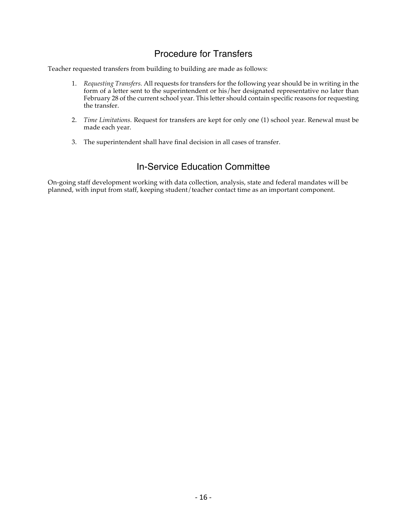# Procedure for Transfers

Teacher requested transfers from building to building are made as follows:

- 1. *Requesting Transfers.* All requests for transfers for the following year should be in writing in the form of a letter sent to the superintendent or his/her designated representative no later than February 28 of the current school year. This letter should contain specific reasons for requesting the transfer.
- 2. *Time Limitations.* Request for transfers are kept for only one (1) school year. Renewal must be made each year.
- 3. The superintendent shall have final decision in all cases of transfer.

## In-Service Education Committee

On-going staff development working with data collection, analysis, state and federal mandates will be planned, with input from staff, keeping student/teacher contact time as an important component.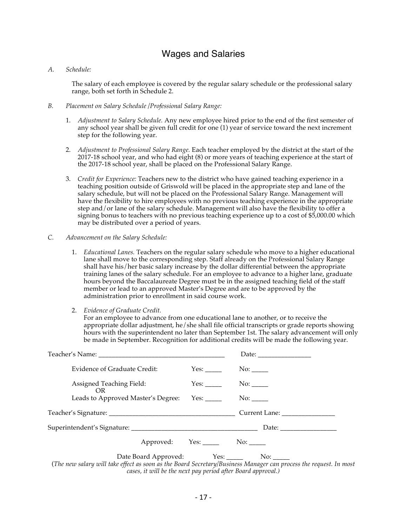### Wages and Salaries

#### *A. Schedule:*

The salary of each employee is covered by the regular salary schedule or the professional salary range, both set forth in Schedule 2.

- *B. Placement on Salary Schedule /Professional Salary Range:*
	- 1. *Adjustment to Salary Schedule.* Any new employee hired prior to the end of the first semester of any school year shall be given full credit for one (1) year of service toward the next increment step for the following year.
	- 2. *Adjustment to Professional Salary Range.* Each teacher employed by the district at the start of the 2017-18 school year, and who had eight (8) or more years of teaching experience at the start of the 2017-18 school year, shall be placed on the Professional Salary Range.
	- 3. *Credit for Experience:* Teachers new to the district who have gained teaching experience in a teaching position outside of Griswold will be placed in the appropriate step and lane of the salary schedule, but will not be placed on the Professional Salary Range. Management will have the flexibility to hire employees with no previous teaching experience in the appropriate step and/or lane of the salary schedule. Management will also have the flexibility to offer a signing bonus to teachers with no previous teaching experience up to a cost of \$5,000.00 which may be distributed over a period of years.
- *C. Advancement on the Salary Schedule:*
	- 1. *Educational Lanes.* Teachers on the regular salary schedule who move to a higher educational lane shall move to the corresponding step. Staff already on the Professional Salary Range shall have his/her basic salary increase by the dollar differential between the appropriate training lanes of the salary schedule. For an employee to advance to a higher lane, graduate hours beyond the Baccalaureate Degree must be in the assigned teaching field of the staff member or lead to an approved Master's Degree and are to be approved by the administration prior to enrollment in said course work.
	- 2. *Evidence of Graduate Credit.*

For an employee to advance from one educational lane to another, or to receive the appropriate dollar adjustment, he/she shall file official transcripts or grade reports showing hours with the superintendent no later than September 1st. The salary advancement will only be made in September. Recognition for additional credits will be made the following year.

| Evidence of Graduate Credit:                                                                                                                                                                       | Yes:               |                                                     |
|----------------------------------------------------------------------------------------------------------------------------------------------------------------------------------------------------|--------------------|-----------------------------------------------------|
| Assigned Teaching Field:<br>OR.                                                                                                                                                                    |                    | No:                                                 |
|                                                                                                                                                                                                    |                    |                                                     |
|                                                                                                                                                                                                    |                    |                                                     |
|                                                                                                                                                                                                    |                    |                                                     |
|                                                                                                                                                                                                    | Approved: Yes: No: |                                                     |
| $\mathbf{1}$ $\mathbf{11}$ $\mathbf{12}$ $\mathbf{13}$ $\mathbf{14}$ $\mathbf{15}$ $\mathbf{16}$ $\mathbf{17}$ $\mathbf{18}$ $\mathbf{19}$ $\mathbf{19}$ $\mathbf{18}$ $\mathbf{19}$<br>$\sqrt{m}$ |                    | $\mathbf{1}$ $\mathbf{1}$ $\mathbf{1}$ $\mathbf{1}$ |

(*The new salary will take effect as soon as the Board Secretary/Business Manager can process the request. In most cases, it will be the next pay period after Board approval.)*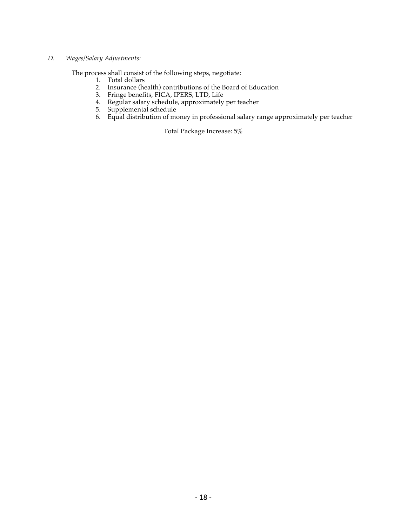#### *D. Wages/Salary Adjustments:*

The process shall consist of the following steps, negotiate:

- 1. Total dollars
- 2. Insurance (health) contributions of the Board of Education
- 3. Fringe benefits, FICA, IPERS, LTD, Life
- 4. Regular salary schedule, approximately per teacher
- 5. Supplemental schedule
- 6. Equal distribution of money in professional salary range approximately per teacher

Total Package Increase: 5%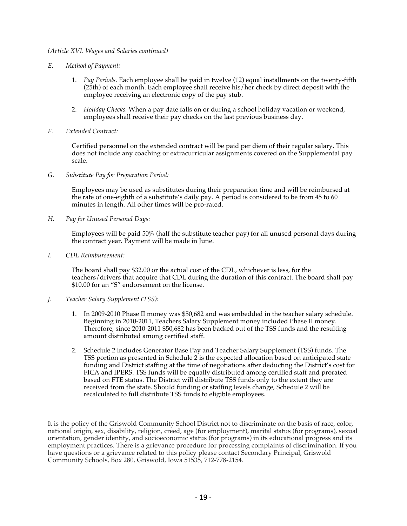#### *(Article XVI. Wages and Salaries continued)*

- *E. Method of Payment:*
	- 1. *Pay Periods.* Each employee shall be paid in twelve (12) equal installments on the twenty-fifth (25th) of each month. Each employee shall receive his/her check by direct deposit with the employee receiving an electronic copy of the pay stub.
	- 2. *Holiday Checks.* When a pay date falls on or during a school holiday vacation or weekend, employees shall receive their pay checks on the last previous business day.
- *F. Extended Contract:*

Certified personnel on the extended contract will be paid per diem of their regular salary. This does not include any coaching or extracurricular assignments covered on the Supplemental pay scale.

*G. Substitute Pay for Preparation Period:*

Employees may be used as substitutes during their preparation time and will be reimbursed at the rate of one-eighth of a substitute's daily pay. A period is considered to be from 45 to 60 minutes in length. All other times will be pro-rated.

*H. Pay for Unused Personal Days:*

Employees will be paid 50% (half the substitute teacher pay) for all unused personal days during the contract year. Payment will be made in June.

*I. CDL Reimbursement:*

The board shall pay \$32.00 or the actual cost of the CDL, whichever is less, for the teachers/drivers that acquire that CDL during the duration of this contract. The board shall pay \$10.00 for an "S" endorsement on the license.

- *J. Teacher Salary Supplement (TSS):*
	- 1. In 2009-2010 Phase II money was \$50,682 and was embedded in the teacher salary schedule. Beginning in 2010-2011, Teachers Salary Supplement money included Phase II money. Therefore, since 2010-2011 \$50,682 has been backed out of the TSS funds and the resulting amount distributed among certified staff.
	- 2. Schedule 2 includes Generator Base Pay and Teacher Salary Supplement (TSS) funds. The TSS portion as presented in Schedule 2 is the expected allocation based on anticipated state funding and District staffing at the time of negotiations after deducting the District's cost for FICA and IPERS. TSS funds will be equally distributed among certified staff and prorated based on FTE status. The District will distribute TSS funds only to the extent they are received from the state. Should funding or staffing levels change, Schedule 2 will be recalculated to full distribute TSS funds to eligible employees.

It is the policy of the Griswold Community School District not to discriminate on the basis of race, color, national origin, sex, disability, religion, creed, age (for employment), marital status (for programs), sexual orientation, gender identity, and socioeconomic status (for programs) in its educational progress and its employment practices. There is a grievance procedure for processing complaints of discrimination. If you have questions or a grievance related to this policy please contact Secondary Principal, Griswold Community Schools, Box 280, Griswold, Iowa 51535, 712-778-2154.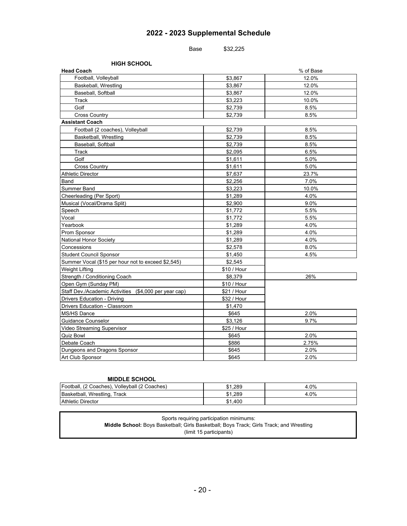### **2022 - 2023 Supplemental Schedule**

Base \$32,225

**HIGH SCHOOL**

| <b>Head Coach</b>                                     |             | % of Base |
|-------------------------------------------------------|-------------|-----------|
| Football, Volleyball                                  | \$3,867     | 12.0%     |
| Baskeball, Wrestling                                  | \$3,867     | 12.0%     |
| Baseball, Softball                                    | \$3,867     | 12.0%     |
| Track                                                 | \$3,223     | 10.0%     |
| Golf                                                  | \$2,739     | 8.5%      |
| <b>Cross Country</b>                                  | \$2,739     | 8.5%      |
| <b>Assistant Coach</b>                                |             |           |
| Football (2 coaches), Volleyball                      | \$2,739     | 8.5%      |
| Basketball, Wrestling                                 | \$2,739     | 8.5%      |
| Baseball, Softball                                    | \$2,739     | 8.5%      |
| Track                                                 | \$2,095     | 6.5%      |
| Golf                                                  | \$1,611     | 5.0%      |
| <b>Cross Country</b>                                  | \$1,611     | 5.0%      |
| <b>Athletic Director</b>                              | \$7,637     | 23.7%     |
| Band                                                  | \$2,256     | 7.0%      |
| Summer Band                                           | \$3,223     | 10.0%     |
| Cheerleading (Per Sport)                              | \$1,289     | 4.0%      |
| Musical (Vocal/Drama Split)                           | \$2,900     | $9.0\%$   |
| Speech                                                | \$1,772     | 5.5%      |
| Vocal                                                 | \$1,772     | 5.5%      |
| Yearbook                                              | \$1,289     | 4.0%      |
| Prom Sponsor                                          | \$1,289     | 4.0%      |
| National Honor Society                                | \$1,289     | 4.0%      |
| Concessions                                           | \$2,578     | 8.0%      |
| <b>Student Council Sponsor</b>                        | \$1,450     | 4.5%      |
| Summer Vocal (\$15 per hour not to exceed \$2,545)    | \$2,545     |           |
| Weight Lifting                                        | \$10 / Hour |           |
| Strength / Conditioning Coach                         | \$8,379     | 26%       |
| Open Gym (Sunday PM)                                  | \$10 / Hour |           |
| Staff Dev./Academic Activities (\$4,000 per year cap) | \$21 / Hour |           |
| Drivers Education - Driving                           | \$32 / Hour |           |
| Drivers Education - Classroom                         | \$1,470     |           |
| MS/HS Dance                                           | \$645       | 2.0%      |
| <b>Guidance Counselor</b>                             | \$3,126     | 9.7%      |
| Video Streaming Supervisor                            | \$25 / Hour |           |
| <b>Quiz Bowl</b>                                      | \$645       | 2.0%      |
| Debate Coach                                          | \$886       | 2.75%     |
| Dungeons and Dragons Sponsor                          | \$645       | 2.0%      |
| Art Club Sponsor                                      | \$645       | 2.0%      |

#### **MIDDLE SCHOOL**

| Football, (2 Coaches), Volleyball (2 Coaches) | $^{\bullet}$<br>\$1.289 | 4.0% |
|-----------------------------------------------|-------------------------|------|
| Basketball, Wrestling,<br>Track               | $^{\bullet}$<br>\$1.289 | 4.0% |
| <b>Athletic Director</b>                      | ሰ ብ<br>.400<br>ا ه      |      |

| Sports requiring participation minimums:                                                        |
|-------------------------------------------------------------------------------------------------|
| <b>Middle School:</b> Boys Basketball; Girls Basketball; Boys Track; Girls Track; and Wrestling |
| (limit 15 participants)                                                                         |